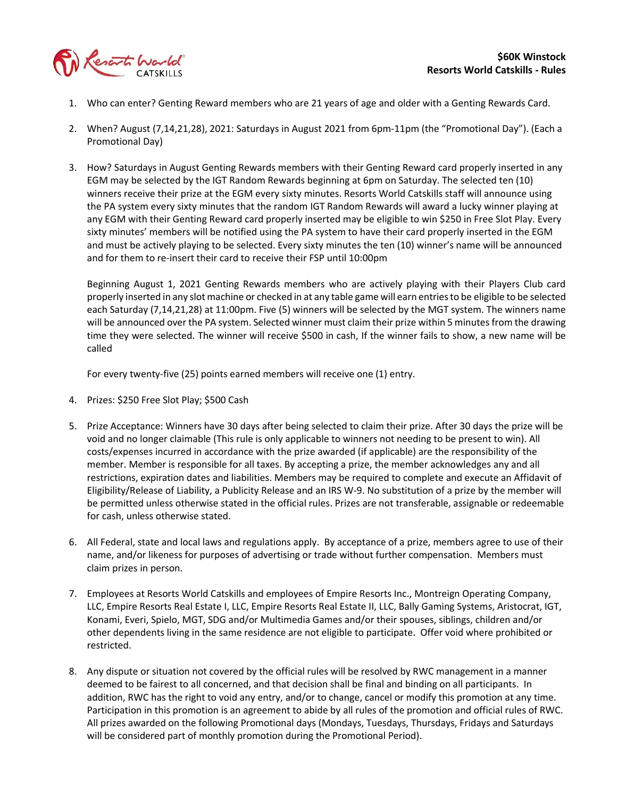

- 1. Who can enter? Genting Reward members who are 21 years of age and older with a Genting Rewards Card.
- 2. When? August (7,14,21,28), 2021: Saturdays in August 2021 from 6pm-11pm (the "Promotional Day"). (Each a Promotional Day)
- 3. How? Saturdays in August Genting Rewards members with their Genting Reward card properly inserted in any EGM may be selected by the IGT Random Rewards beginning at 6pm on Saturday. The selected ten (10) winners receive their prize at the EGM every sixty minutes. Resorts World Catskills staff will announce using the PA system every sixty minutes that the random IGT Random Rewards will award a lucky winner playing at any EGM with their Genting Reward card properly inserted may be eligible to win \$250 in Free Slot Play. Every sixty minutes' members will be notified using the PA system to have their card properly inserted in the EGM and must be actively playing to be selected. Every sixty minutes the ten (10) winner's name will be announced and for them to re-insert their card to receive their FSP until 10:00pm

Beginning August 1, 2021 Genting Rewards members who are actively playing with their Players Club card properly inserted in any slot machine or checked in at any table game will earn entries to be eligible to be selected each Saturday (7,14,21,28) at 11:00pm. Five (5) winners will be selected by the MGT system. The winners name will be announced over the PA system. Selected winner must claim their prize within 5 minutes from the drawing time they were selected. The winner will receive \$500 in cash, If the winner fails to show, a new name will be called

For every twenty-five (25) points earned members will receive one (1) entry.

- 4. Prizes: \$250 Free Slot Play; \$500 Cash
- 5. Prize Acceptance: Winners have 30 days after being selected to claim their prize. After 30 days the prize will be void and no longer claimable (This rule is only applicable to winners not needing to be present to win). All costs/expenses incurred in accordance with the prize awarded (if applicable) are the responsibility of the member. Member is responsible for all taxes. By accepting a prize, the member acknowledges any and all restrictions, expiration dates and liabilities. Members may be required to complete and execute an Affidavit of Eligibility/Release of Liability, a Publicity Release and an IRS W-9. No substitution of a prize by the member will be permitted unless otherwise stated in the official rules. Prizes are not transferable, assignable or redeemable for cash, unless otherwise stated.
- 6. All Federal, state and local laws and regulations apply. By acceptance of a prize, members agree to use of their name, and/or likeness for purposes of advertising or trade without further compensation. Members must claim prizes in person.
- 7. Employees at Resorts World Catskills and employees of Empire Resorts Inc., Montreign Operating Company, LLC, Empire Resorts Real Estate I, LLC, Empire Resorts Real Estate II, LLC, Bally Gaming Systems, Aristocrat, IGT, Konami, Everi, Spielo, MGT, SDG and/or Multimedia Games and/or their spouses, siblings, children and/or other dependents living in the same residence are not eligible to participate. Offer void where prohibited or restricted.
- 8. Any dispute or situation not covered by the official rules will be resolved by RWC management in a manner deemed to be fairest to all concerned, and that decision shall be final and binding on all participants. In addition, RWC has the right to void any entry, and/or to change, cancel or modify this promotion at any time. Participation in this promotion is an agreement to abide by all rules of the promotion and official rules of RWC. All prizes awarded on the following Promotional days (Mondays, Tuesdays, Thursdays, Fridays and Saturdays will be considered part of monthly promotion during the Promotional Period).